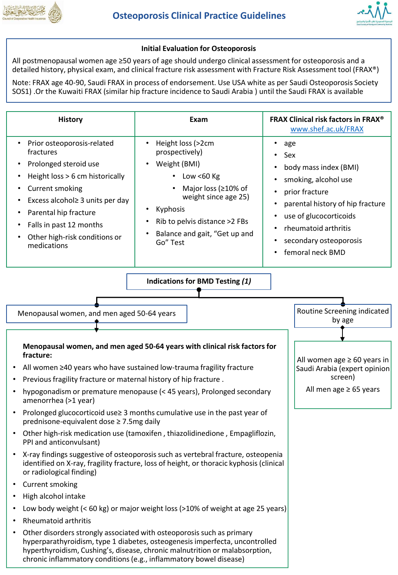



## **Initial Evaluation for Osteoporosis**

All postmenopausal women age ≥50 years of age should undergo clinical assessment for osteoporosis and a detailed history, physical exam, and clinical fracture risk assessment with Fracture Risk Assessment tool (FRAX®)

Note: FRAX age 40-90, Saudi FRAX in process of endorsement. Use USA white as per Saudi Osteoporosis Society SOS1) .Or the Kuwaiti FRAX (similar hip fracture incidence to Saudi Arabia ) until the Saudi FRAX is available

| <b>History</b>                                                                                                                                                                                                                                                                                              | Exam                                                                                                                                                                                                                                                              | <b>FRAX Clinical risk factors in FRAX®</b><br>www.shef.ac.uk/FRAX                                                                                                                                                      |  |
|-------------------------------------------------------------------------------------------------------------------------------------------------------------------------------------------------------------------------------------------------------------------------------------------------------------|-------------------------------------------------------------------------------------------------------------------------------------------------------------------------------------------------------------------------------------------------------------------|------------------------------------------------------------------------------------------------------------------------------------------------------------------------------------------------------------------------|--|
| Prior osteoporosis-related<br>$\bullet$<br>fractures<br>Prolonged steroid use<br>Height loss > 6 cm historically<br><b>Current smoking</b><br>Excess alcohol≥ 3 units per day<br>$\bullet$<br>Parental hip fracture<br>$\bullet$<br>Falls in past 12 months<br>Other high-risk conditions or<br>medications | Height loss (>2cm<br>$\bullet$<br>prospectively)<br>Weight (BMI)<br>$\bullet$<br>Low < $60$ Kg<br>$\bullet$<br>Major loss (≥10% of<br>weight since age 25)<br>Kyphosis<br>$\bullet$<br>Rib to pelvis distance >2 FBs<br>Balance and gait, "Get up and<br>Go" Test | ٠<br>age<br>Sex<br>body mass index (BMI)<br>smoking, alcohol use<br>prior fracture<br>parental history of hip fracture<br>use of glucocorticoids<br>rheumatoid arthritis<br>secondary osteoporosis<br>femoral neck BMD |  |
|                                                                                                                                                                                                                                                                                                             | <b>Indications for BMD Testing (1)</b>                                                                                                                                                                                                                            |                                                                                                                                                                                                                        |  |
| Menopausal women, and men aged 50-64 years                                                                                                                                                                                                                                                                  |                                                                                                                                                                                                                                                                   | Routine Screening indicated<br>by age                                                                                                                                                                                  |  |
| Menopausal women, and men aged 50-64 years with clinical risk factors for<br>fracture:                                                                                                                                                                                                                      | All women age $\geq 60$ years in                                                                                                                                                                                                                                  |                                                                                                                                                                                                                        |  |
| All women ≥40 years who have sustained low-trauma fragility fracture                                                                                                                                                                                                                                        | Saudi Arabia (expert opinion<br>screen)                                                                                                                                                                                                                           |                                                                                                                                                                                                                        |  |
| Previous fragility fracture or maternal history of hip fracture.                                                                                                                                                                                                                                            | All men age $\geq$ 65 years                                                                                                                                                                                                                                       |                                                                                                                                                                                                                        |  |
| hypogonadism or premature menopause (< 45 years), Prolonged secondary<br>amenorrhea (>1 year)                                                                                                                                                                                                               |                                                                                                                                                                                                                                                                   |                                                                                                                                                                                                                        |  |
| Prolonged glucocorticoid use≥ 3 months cumulative use in the past year of<br>$\bullet$<br>prednisone-equivalent dose ≥ 7.5mg daily                                                                                                                                                                          |                                                                                                                                                                                                                                                                   |                                                                                                                                                                                                                        |  |
| Other high-risk medication use (tamoxifen, thiazolidinedione, Empagliflozin,<br>PPI and anticonvulsant)                                                                                                                                                                                                     |                                                                                                                                                                                                                                                                   |                                                                                                                                                                                                                        |  |
| or radiological finding)                                                                                                                                                                                                                                                                                    | X-ray findings suggestive of osteoporosis such as vertebral fracture, osteopenia<br>identified on X-ray, fragility fracture, loss of height, or thoracic kyphosis (clinical                                                                                       |                                                                                                                                                                                                                        |  |
| Current smoking                                                                                                                                                                                                                                                                                             |                                                                                                                                                                                                                                                                   |                                                                                                                                                                                                                        |  |
| High alcohol intake                                                                                                                                                                                                                                                                                         |                                                                                                                                                                                                                                                                   |                                                                                                                                                                                                                        |  |
|                                                                                                                                                                                                                                                                                                             | Low body weight (< 60 kg) or major weight loss (>10% of weight at age 25 years)                                                                                                                                                                                   |                                                                                                                                                                                                                        |  |
| <b>Rheumatoid arthritis</b>                                                                                                                                                                                                                                                                                 |                                                                                                                                                                                                                                                                   |                                                                                                                                                                                                                        |  |
|                                                                                                                                                                                                                                                                                                             | Other disorders strongly associated with osteoporosis such as primary<br>hyperparathyroidism, type 1 diabetes, osteogenesis imperfecta, uncontrolled<br>hyperthyroidism, Cushing's, disease, chronic malnutrition or malabsorption,                               |                                                                                                                                                                                                                        |  |

chronic inflammatory conditions (e.g., inflammatory bowel disease)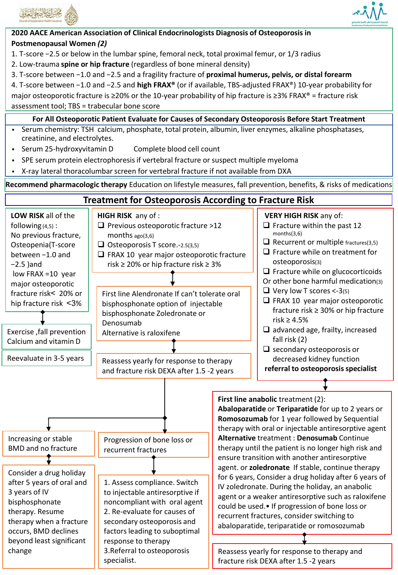



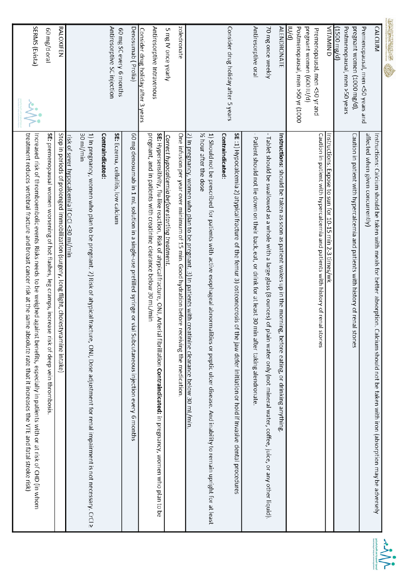

| treatment reduces vertebral fracture and breast cancer risk at the same absolute rate that it increases the VTE and fatal stroke risk)<br>Increased risk of thromboembolic events Risks needs to be weighed against benefits, especially in patients with or at risk of CHD (in whom | SERMS (Evista)                                                                                          |
|--------------------------------------------------------------------------------------------------------------------------------------------------------------------------------------------------------------------------------------------------------------------------------------|---------------------------------------------------------------------------------------------------------|
| SE: premenopausal women worsening of hot flashes, leg cramps, increase risk of deep vein thrombosis.                                                                                                                                                                                 | leto b\gm 09                                                                                            |
| Stop in periods of prolonged immobilization (surgery, long flight, cholestyramine<br>intake)                                                                                                                                                                                         | RALOXIFEN                                                                                               |
| risk of sever hypocalcemia if CrCl <30 ml/min                                                                                                                                                                                                                                        |                                                                                                         |
| 30 ml/min<br>1) In pregnancy, women who plan to be pregnant. 2) Risk of atypical fracture, ONJ, Dose adjustment for renal impairment is not necessary. CrCl $\geq$                                                                                                                   |                                                                                                         |
| Contraindicated:                                                                                                                                                                                                                                                                     |                                                                                                         |
| SE: Eczema, cellulitis, low calcium                                                                                                                                                                                                                                                  | Antiresorptive SC injection<br>60 mg SC every 6 months                                                  |
| 60 mg denosumab in 1 mL solution in a single-use prefilled syringe or vial Subcutaneous injection every 6 months                                                                                                                                                                     | Denosumab (Prolia)                                                                                      |
| SE: Hypersensitivity, flu-like reaction, Risk of atypical fracture, ONJ, Arterial fibrillation Contraindicated: in pregnancy, women who plan to be<br>pregnant, and in patients with creatinine clearance below 30 mL/min                                                            | Antiresorptive Intravenous<br><u>Consider drug holiday after 3 years</u>                                |
| Correct hypocalcemia before starting treatment.                                                                                                                                                                                                                                      | 5 mg IV once yearly                                                                                     |
| One infusion per year over minimum of 15 min. Good hydration before receiving<br>the medication.                                                                                                                                                                                     | zoledronate                                                                                             |
| $2$ ) In pregnancy, women who plan to be pregnant. 3) In patients with creatinine clearance below 30 mL/min.                                                                                                                                                                         |                                                                                                         |
| $\%$ hour after the dose<br>1) Should not be prescribed for patients with active esophageal abnormalities or<br>peptic ulcer disease. And inability to remain upright for at least                                                                                                   |                                                                                                         |
| Contraindicated:                                                                                                                                                                                                                                                                     | Consider drug holiday after 5 years                                                                     |
| SE :1) Hypocalcemia 2) atypical fracture of the femur 3) osteonecrosis of the jaw<br>defer initiation or hold if Invasive dental procedures                                                                                                                                          |                                                                                                         |
| Patient should not lie down on their back, eat, or drink for at least 30 min after<br>taking alendronate.                                                                                                                                                                            | Antiresorptive oral                                                                                     |
| Tablet should be swallowed as a whole with a large glass (8 ounces) of plain water only (not mineral water, coffee, juice, or any other liquid).                                                                                                                                     | 70 mg once weekly                                                                                       |
| Instructions: should be taken as soon as patient wakes up in the morning, before eating, or drinking anything                                                                                                                                                                        | <b>ALENDRONATE</b>                                                                                      |
| Caution in patient with hypercalcemia and patients with history of renal stones                                                                                                                                                                                                      | Postmenopausal, men >50 yr (1000<br>pregnant women (600 IU/d)<br>ID/01<br>Premenopausal, men <50 yr and |
| Instructions: Expose to sun for 10-15 min 2-3 times/wk                                                                                                                                                                                                                               | <b>UTAMIN D</b>                                                                                         |
| Caution in patient with hypercalcemia and patients with history of renal stones                                                                                                                                                                                                      | Postmenopausal, men >50 years<br>pregnant women (1000 mg/d),<br>(1500 mg/d)                             |
| affected when given concurrently)<br>Instructions: Calcium should be taken with meals for better absorption. Calcium<br>should not be taken with iron (absorption may be adversely                                                                                                   | <b>CALCIUM</b><br>Premenopausal, men <50 years and                                                      |
|                                                                                                                                                                                                                                                                                      |                                                                                                         |